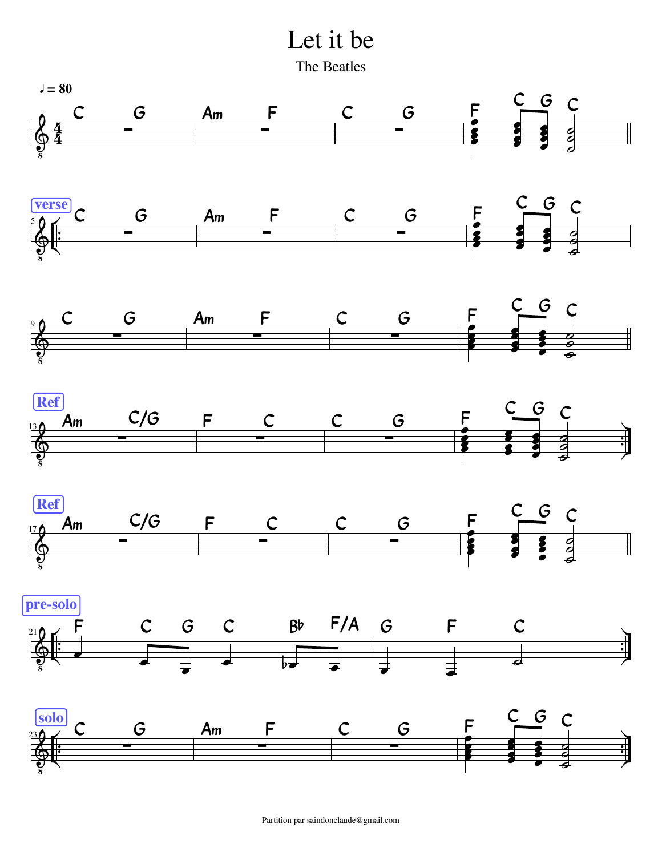Let it be

The Beatles